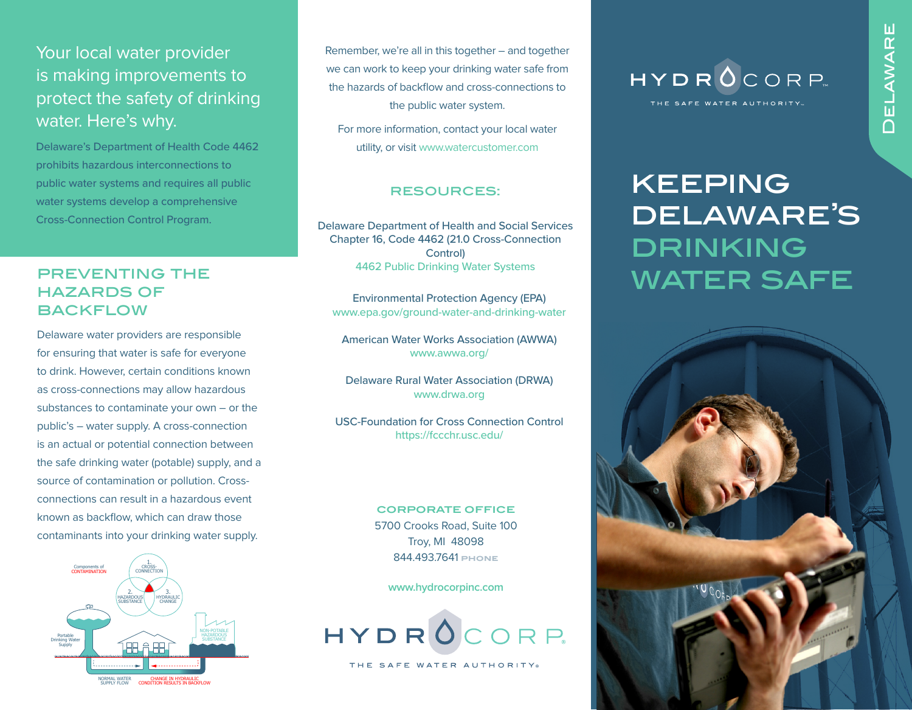## Your local water provider is making improvements to protect the safety of drinking water. Here's why.

Delaware's Department of Health Code 4462 prohibits hazardous interconnections to public water systems and requires all public water systems develop a comprehensive Cross-Connection Control Program.

#### preventing the hazards of **BACKFLOW**

Delaware water providers are responsible for ensuring that water is safe for everyone to drink. However, certain conditions known as cross-connections may allow hazardous substances to contaminate your own – or the public's – water supply. A cross-connection is an actual or potential connection between the safe drinking water (potable) supply, and a source of contamination or pollution. Crossconnections can result in a hazardous event known as backflow, which can draw those contaminants into your drinking water supply.



Remember, we're all in this together – and together we can work to keep your drinking water safe from the hazards of backflow and cross-connections to the public water system.

For more information, contact your local water utility, or visit www.watercustomer.com

#### resources:

Delaware Department of Health and Social Services Chapter 16, Code 4462 (21.0 Cross-Connection **Control**) [4462 Public Drinking Water Systems](https://regulations.delaware.gov/AdminCode/title16/Department%20of%20Health%20and%20Social%20Services/Division%20of%20Public%20Health/Health%20Systems%20Protection%20(HSP)/4462.pdf)

Environmental Protection Agency (EPA) www.epa.gov/ground-water-and-drinking-water

American Water Works Association (AWWA) www.awwa.org/

Delaware Rural Water Association (DRWA) www.drwa.org

USC-Foundation for Cross Connection Control https://fccchr.usc.edu/

#### **CORPORATE OFFICE** 5700 Crooks Road, Suite 100 Troy, MI 48098 844.493.7641 **phone**

**www.hydrocorpinc.com**



THE SAFE WATER AUTHORITY



# keeping delaware's drinking water safe